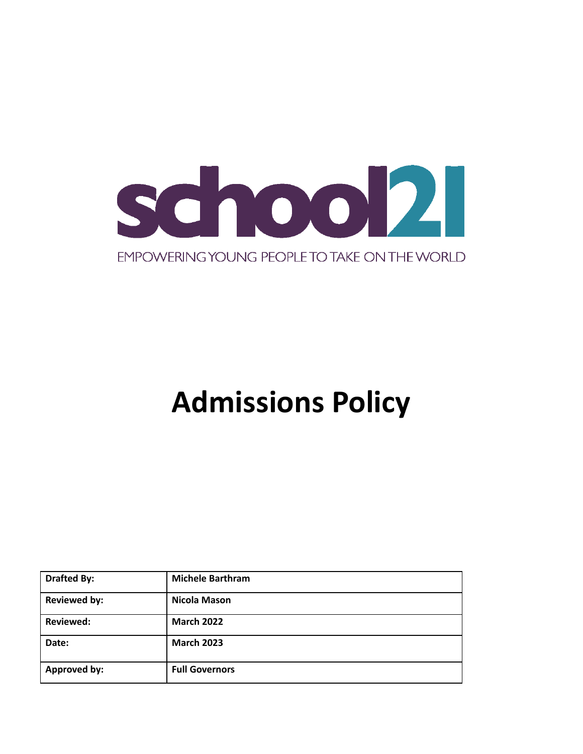

# **Admissions Policy**

| <b>Drafted By:</b>  | <b>Michele Barthram</b> |
|---------------------|-------------------------|
| <b>Reviewed by:</b> | <b>Nicola Mason</b>     |
| <b>Reviewed:</b>    | <b>March 2022</b>       |
| Date:               | <b>March 2023</b>       |
| <b>Approved by:</b> | <b>Full Governors</b>   |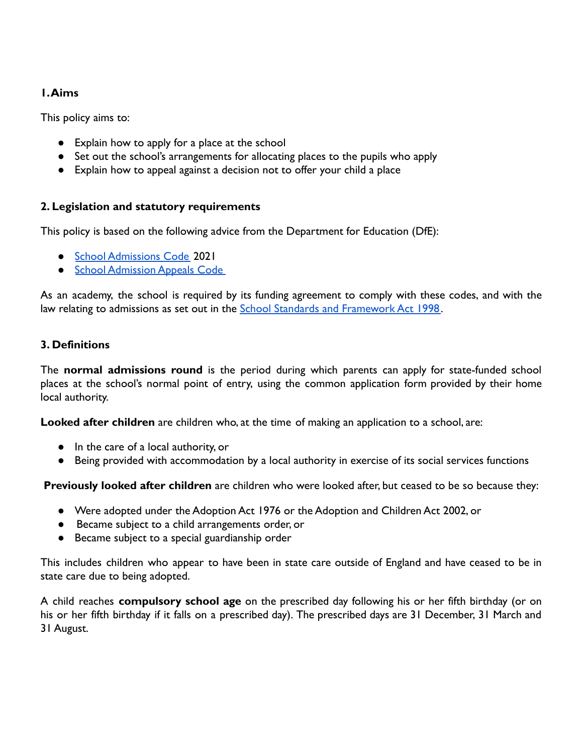# **1.Aims**

This policy aims to:

- Explain how to apply for a place at the school
- Set out the school's arrangements for allocating places to the pupils who apply
- Explain how to appeal against a decision not to offer your child a place

# **2. Legislation and statutory requirements**

This policy is based on the following advice from the Department for Education (DfE):

- [School Admissions Code](https://www.gov.uk/government/publications/school-admissions-code--2) 2021
- [School Admission Appeals Code](https://www.gov.uk/government/publications/school-admissions-appeals-code)

As an academy, the school is required by its funding agreement to comply with these codes, and with the law relating to admissions as set out in the School [Standards and Framework Act 1998.](http://www.legislation.gov.uk/ukpga/1998/31/contents)

# **3. Definitions**

The **normal admissions round** is the period during which parents can apply for state-funded school places at the school's normal point of entry, using the common application form provided by their home local authority.

**Looked after children** are children who, at the time of making an application to a school, are:

- In the care of a local authority, or
- Being provided with accommodation by a local authority in exercise of its social services functions

**Previously looked after children** are children who were looked after, but ceased to be so because they:

- Were adopted under the Adoption Act 1976 or the Adoption and Children Act 2002, or
- Became subject to a child arrangements order, or
- Became subject to a special guardianship order

This includes children who appear to have been in state care outside of England and have ceased to be in state care due to being adopted.

A child reaches **compulsory school age** on the prescribed day following his or her fifth birthday (or on his or her fifth birthday if it falls on a prescribed day). The prescribed days are 31 December, 31 March and 31 August.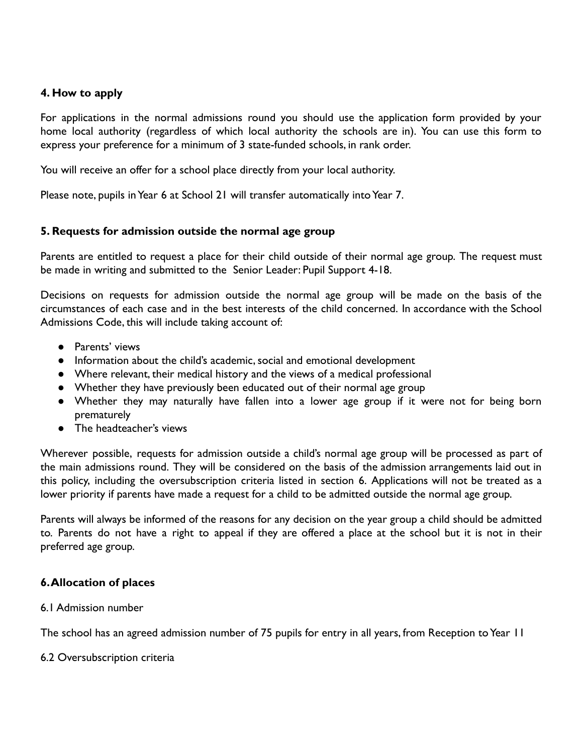## **4. How to apply**

For applications in the normal admissions round you should use the application form provided by your home local authority (regardless of which local authority the schools are in). You can use this form to express your preference for a minimum of 3 state-funded schools, in rank order.

You will receive an offer for a school place directly from your local authority.

Please note, pupils in Year 6 at School 21 will transfer automatically into Year 7.

## **5. Requests for admission outside the normal age group**

Parents are entitled to request a place for their child outside of their normal age group. The request must be made in writing and submitted to the Senior Leader: Pupil Support 4-18.

Decisions on requests for admission outside the normal age group will be made on the basis of the circumstances of each case and in the best interests of the child concerned. In accordance with the School Admissions Code, this will include taking account of:

- Parents' views
- Information about the child's academic, social and emotional development
- Where relevant, their medical history and the views of a medical professional
- Whether they have previously been educated out of their normal age group
- Whether they may naturally have fallen into a lower age group if it were not for being born prematurely
- The headteacher's views

Wherever possible, requests for admission outside a child's normal age group will be processed as part of the main admissions round. They will be considered on the basis of the admission arrangements laid out in this policy, including the oversubscription criteria listed in section 6. Applications will not be treated as a lower priority if parents have made a request for a child to be admitted outside the normal age group.

Parents will always be informed of the reasons for any decision on the year group a child should be admitted to. Parents do not have a right to appeal if they are offered a place at the school but it is not in their preferred age group.

## **6.Allocation of places**

6.1 Admission number

The school has an agreed admission number of 75 pupils for entry in all years, from Reception to Year 11

6.2 Oversubscription criteria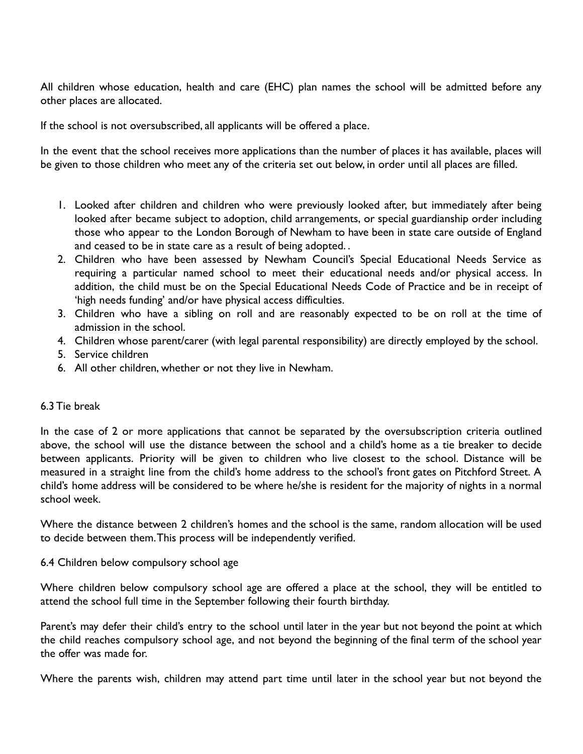All children whose education, health and care (EHC) plan names the school will be admitted before any other places are allocated.

If the school is not oversubscribed, all applicants will be offered a place.

In the event that the school receives more applications than the number of places it has available, places will be given to those children who meet any of the criteria set out below, in order until all places are filled.

- 1. Looked after children and children who were previously looked after, but immediately after being looked after became subject to adoption, child arrangements, or special guardianship order including those who appear to the London Borough of Newham to have been in state care outside of England and ceased to be in state care as a result of being adopted. .
- 2. Children who have been assessed by Newham Council's Special Educational Needs Service as requiring a particular named school to meet their educational needs and/or physical access. In addition, the child must be on the Special Educational Needs Code of Practice and be in receipt of 'high needs funding' and/or have physical access difficulties.
- 3. Children who have a sibling on roll and are reasonably expected to be on roll at the time of admission in the school.
- 4. Children whose parent/carer (with legal parental responsibility) are directly employed by the school.
- 5. Service children
- 6. All other children, whether or not they live in Newham.

## 6.3 Tie break

In the case of 2 or more applications that cannot be separated by the oversubscription criteria outlined above, the school will use the distance between the school and a child's home as a tie breaker to decide between applicants. Priority will be given to children who live closest to the school. Distance will be measured in a straight line from the child's home address to the school's front gates on Pitchford Street. A child's home address will be considered to be where he/she is resident for the majority of nights in a normal school week.

Where the distance between 2 children's homes and the school is the same, random allocation will be used to decide between them.This process will be independently verified.

#### 6.4 Children below compulsory school age

Where children below compulsory school age are offered a place at the school, they will be entitled to attend the school full time in the September following their fourth birthday.

Parent's may defer their child's entry to the school until later in the year but not beyond the point at which the child reaches compulsory school age, and not beyond the beginning of the final term of the school year the offer was made for.

Where the parents wish, children may attend part time until later in the school year but not beyond the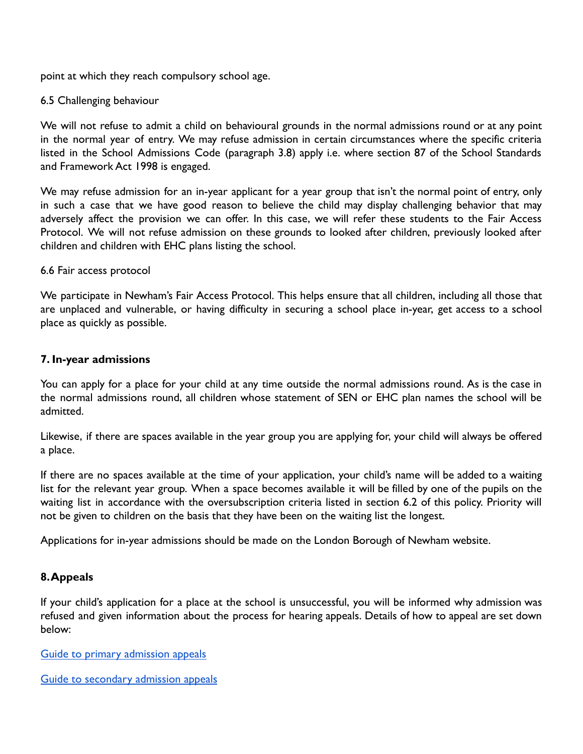point at which they reach compulsory school age.

#### 6.5 Challenging behaviour

We will not refuse to admit a child on behavioural grounds in the normal admissions round or at any point in the normal year of entry. We may refuse admission in certain circumstances where the specific criteria listed in the School Admissions Code (paragraph 3.8) apply i.e. where section 87 of the School Standards and Framework Act 1998 is engaged.

We may refuse admission for an in-year applicant for a year group that isn't the normal point of entry, only in such a case that we have good reason to believe the child may display challenging behavior that may adversely affect the provision we can offer. In this case, we will refer these students to the Fair Access Protocol. We will not refuse admission on these grounds to looked after children, previously looked after children and children with EHC plans listing the school.

#### 6.6 Fair access protocol

We participate in Newham's Fair Access Protocol. This helps ensure that all children, including all those that are unplaced and vulnerable, or having difficulty in securing a school place in-year, get access to a school place as quickly as possible.

## **7. In-year admissions**

You can apply for a place for your child at any time outside the normal admissions round. As is the case in the normal admissions round, all children whose statement of SEN or EHC plan names the school will be admitted.

Likewise, if there are spaces available in the year group you are applying for, your child will always be offered a place.

If there are no spaces available at the time of your application, your child's name will be added to a waiting list for the relevant year group. When a space becomes available it will be filled by one of the pupils on the waiting list in accordance with the oversubscription criteria listed in section 6.2 of this policy. Priority will not be given to children on the basis that they have been on the waiting list the longest.

Applications for in-year admissions should be made on the London Borough of Newham website.

## **8.Appeals**

If your child's application for a place at the school is unsuccessful, you will be informed why admission was refused and given information about the process for hearing appeals. Details of how to appeal are set down below:

[Guide to primary admission appeals](https://www.newham.gov.uk/downloads/file/306/primaryschoolappealsguidance)

[Guide to secondary admission appeals](https://www.newham.gov.uk/downloads/file/307/secondaryschoolappealsguidance)